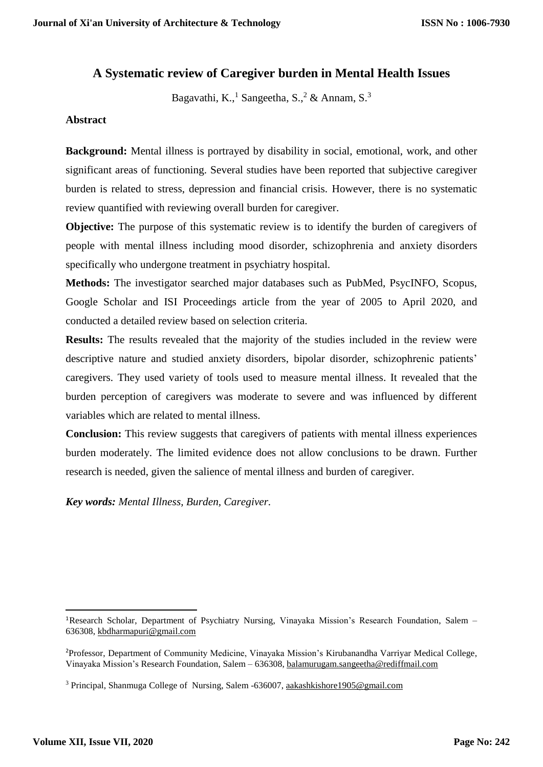# **A Systematic review of Caregiver burden in Mental Health Issues**

Bagavathi, K.,<sup>1</sup> Sangeetha, S.,<sup>2</sup> & Annam, S.<sup>3</sup>

# **Abstract**

**Background:** Mental illness is portrayed by disability in social, emotional, work, and other significant areas of functioning. Several studies have been reported that subjective caregiver burden is related to stress, depression and financial crisis. However, there is no systematic review quantified with reviewing overall burden for caregiver.

**Objective:** The purpose of this systematic review is to identify the burden of caregivers of people with mental illness including mood disorder, schizophrenia and anxiety disorders specifically who undergone treatment in psychiatry hospital.

**Methods:** The investigator searched major databases such as PubMed, PsycINFO, Scopus, Google Scholar and ISI Proceedings article from the year of 2005 to April 2020, and conducted a detailed review based on selection criteria.

**Results:** The results revealed that the majority of the studies included in the review were descriptive nature and studied anxiety disorders, bipolar disorder, schizophrenic patients' caregivers. They used variety of tools used to measure mental illness. It revealed that the burden perception of caregivers was moderate to severe and was influenced by different variables which are related to mental illness.

**Conclusion:** This review suggests that caregivers of patients with mental illness experiences burden moderately. The limited evidence does not allow conclusions to be drawn. Further research is needed, given the salience of mental illness and burden of caregiver.

*Key words: Mental Illness, Burden, Caregiver.*

1

<sup>1</sup>Research Scholar, Department of Psychiatry Nursing, Vinayaka Mission's Research Foundation, Salem – 636308, [kbdharmapuri@gmail.com](mailto:kbdharmapuri@gmail.com)

<sup>2</sup>Professor, Department of Community Medicine, Vinayaka Mission's Kirubanandha Varriyar Medical College, Vinayaka Mission's Research Foundation, Salem – 636308[, balamurugam.sangeetha@rediffmail.com](mailto:balamurugam.sangeetha@rediffmail.com)

<sup>3</sup> Principal, Shanmuga College of Nursing, Salem -636007[, aakashkishore1905@gmail.com](mailto:aakashkishore1905@gmail.com)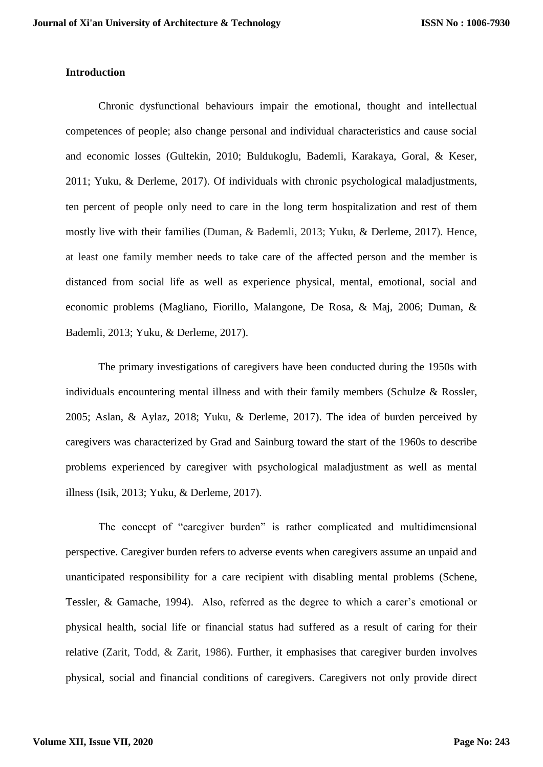### **Introduction**

Chronic dysfunctional behaviours impair the emotional, thought and intellectual competences of people; also change personal and individual characteristics and cause social and economic losses (Gultekin, 2010; Buldukoglu, Bademli, Karakaya, Goral, & Keser, 2011; Yuku, & Derleme, 2017). Of individuals with chronic psychological maladjustments, ten percent of people only need to care in the long term hospitalization and rest of them mostly live with their families (Duman, & Bademli, 2013; Yuku, & Derleme, 2017). Hence, at least one family member needs to take care of the affected person and the member is distanced from social life as well as experience physical, mental, emotional, social and economic problems (Magliano, Fiorillo, Malangone, De Rosa, & Maj, 2006; Duman, & Bademli, 2013; Yuku, & Derleme, 2017).

The primary investigations of caregivers have been conducted during the 1950s with individuals encountering mental illness and with their family members (Schulze & Rossler, 2005; Aslan, & Aylaz, 2018; Yuku, & Derleme, 2017). The idea of burden perceived by caregivers was characterized by Grad and Sainburg toward the start of the 1960s to describe problems experienced by caregiver with psychological maladjustment as well as mental illness (Isik, 2013; Yuku, & Derleme, 2017).

The concept of "caregiver burden" is rather complicated and multidimensional perspective. Caregiver burden refers to adverse events when caregivers assume an unpaid and unanticipated responsibility for a care recipient with disabling mental problems (Schene, Tessler, & Gamache, 1994). Also, referred as the degree to which a carer's emotional or physical health, social life or financial status had suffered as a result of caring for their relative (Zarit, Todd, & Zarit, 1986). Further, it emphasises that caregiver burden involves physical, social and financial conditions of caregivers. Caregivers not only provide direct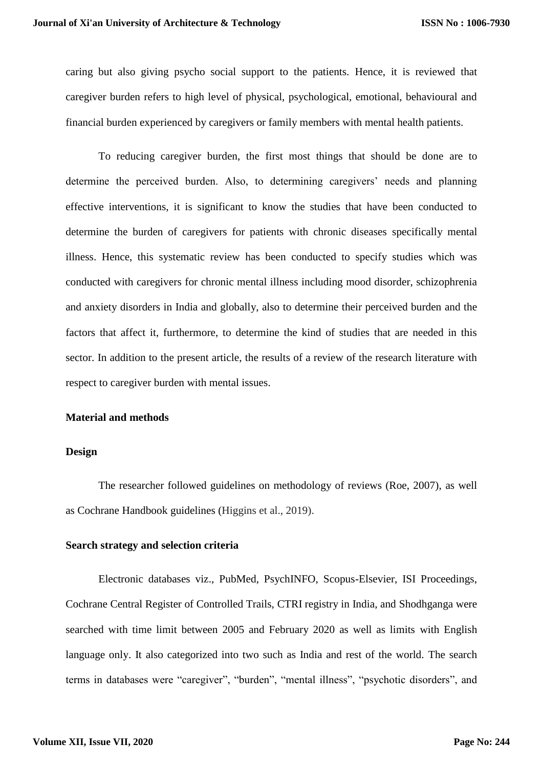caring but also giving psycho social support to the patients. Hence, it is reviewed that caregiver burden refers to high level of physical, psychological, emotional, behavioural and financial burden experienced by caregivers or family members with mental health patients.

To reducing caregiver burden, the first most things that should be done are to determine the perceived burden. Also, to determining caregivers' needs and planning effective interventions, it is significant to know the studies that have been conducted to determine the burden of caregivers for patients with chronic diseases specifically mental illness. Hence, this systematic review has been conducted to specify studies which was conducted with caregivers for chronic mental illness including mood disorder, schizophrenia and anxiety disorders in India and globally, also to determine their perceived burden and the factors that affect it, furthermore, to determine the kind of studies that are needed in this sector. In addition to the present article, the results of a review of the research literature with respect to caregiver burden with mental issues.

#### **Material and methods**

#### **Design**

The researcher followed guidelines on methodology of reviews (Roe, 2007), as well as Cochrane Handbook guidelines (Higgins et al., 2019).

#### **Search strategy and selection criteria**

Electronic databases viz., PubMed, PsychINFO, Scopus-Elsevier, ISI Proceedings, Cochrane Central Register of Controlled Trails, CTRI registry in India, and Shodhganga were searched with time limit between 2005 and February 2020 as well as limits with English language only. It also categorized into two such as India and rest of the world. The search terms in databases were "caregiver", "burden", "mental illness", "psychotic disorders", and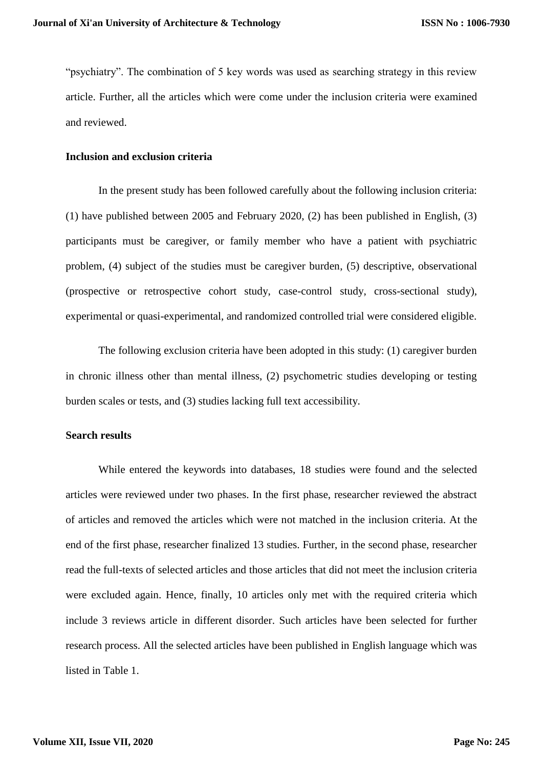"psychiatry". The combination of 5 key words was used as searching strategy in this review article. Further, all the articles which were come under the inclusion criteria were examined and reviewed.

# **Inclusion and exclusion criteria**

In the present study has been followed carefully about the following inclusion criteria: (1) have published between 2005 and February 2020, (2) has been published in English, (3) participants must be caregiver, or family member who have a patient with psychiatric problem, (4) subject of the studies must be caregiver burden, (5) descriptive, observational (prospective or retrospective cohort study, case-control study, cross-sectional study), experimental or quasi-experimental, and randomized controlled trial were considered eligible.

The following exclusion criteria have been adopted in this study: (1) caregiver burden in chronic illness other than mental illness, (2) psychometric studies developing or testing burden scales or tests, and (3) studies lacking full text accessibility.

# **Search results**

While entered the keywords into databases, 18 studies were found and the selected articles were reviewed under two phases. In the first phase, researcher reviewed the abstract of articles and removed the articles which were not matched in the inclusion criteria. At the end of the first phase, researcher finalized 13 studies. Further, in the second phase, researcher read the full-texts of selected articles and those articles that did not meet the inclusion criteria were excluded again. Hence, finally, 10 articles only met with the required criteria which include 3 reviews article in different disorder. Such articles have been selected for further research process. All the selected articles have been published in English language which was listed in Table 1.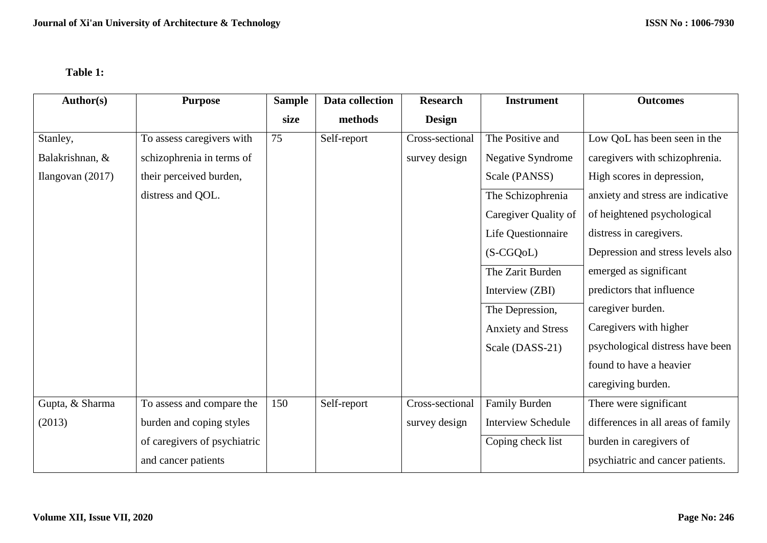# **Table 1:**

| Author(s)          | <b>Purpose</b>               | <b>Sample</b> | Data collection | <b>Research</b> | <b>Instrument</b>         | <b>Outcomes</b>                    |
|--------------------|------------------------------|---------------|-----------------|-----------------|---------------------------|------------------------------------|
|                    |                              | size          | methods         | <b>Design</b>   |                           |                                    |
| Stanley,           | To assess caregivers with    | 75            | Self-report     | Cross-sectional | The Positive and          | Low QoL has been seen in the       |
| Balakrishnan, &    | schizophrenia in terms of    |               |                 | survey design   | <b>Negative Syndrome</b>  | caregivers with schizophrenia.     |
| Ilangovan $(2017)$ | their perceived burden,      |               |                 |                 | Scale (PANSS)             | High scores in depression,         |
|                    | distress and QOL.            |               |                 |                 | The Schizophrenia         | anxiety and stress are indicative  |
|                    |                              |               |                 |                 | Caregiver Quality of      | of heightened psychological        |
|                    |                              |               |                 |                 | Life Questionnaire        | distress in caregivers.            |
|                    |                              |               |                 |                 | $(S-CGQoL)$               | Depression and stress levels also  |
|                    |                              |               |                 |                 | The Zarit Burden          | emerged as significant             |
|                    |                              |               |                 |                 | Interview (ZBI)           | predictors that influence          |
|                    |                              |               |                 |                 | The Depression,           | caregiver burden.                  |
|                    |                              |               |                 |                 | <b>Anxiety and Stress</b> | Caregivers with higher             |
|                    |                              |               |                 |                 | Scale (DASS-21)           | psychological distress have been   |
|                    |                              |               |                 |                 |                           | found to have a heavier            |
|                    |                              |               |                 |                 |                           | caregiving burden.                 |
| Gupta, & Sharma    | To assess and compare the    | 150           | Self-report     | Cross-sectional | Family Burden             | There were significant             |
| (2013)             | burden and coping styles     |               |                 | survey design   | <b>Interview Schedule</b> | differences in all areas of family |
|                    | of caregivers of psychiatric |               |                 |                 | Coping check list         | burden in caregivers of            |
|                    | and cancer patients          |               |                 |                 |                           | psychiatric and cancer patients.   |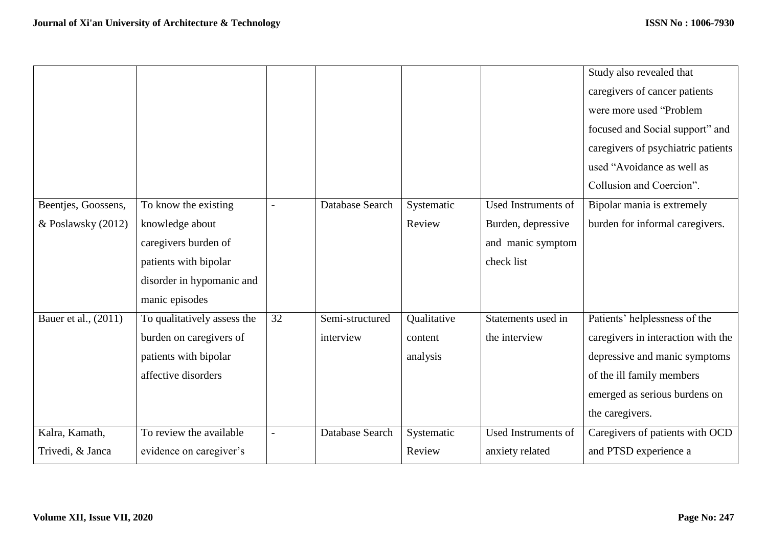|                      |                             |    |                 |             |                            | Study also revealed that           |
|----------------------|-----------------------------|----|-----------------|-------------|----------------------------|------------------------------------|
|                      |                             |    |                 |             |                            | caregivers of cancer patients      |
|                      |                             |    |                 |             |                            | were more used "Problem            |
|                      |                             |    |                 |             |                            | focused and Social support" and    |
|                      |                             |    |                 |             |                            | caregivers of psychiatric patients |
|                      |                             |    |                 |             |                            | used "Avoidance as well as         |
|                      |                             |    |                 |             |                            | Collusion and Coercion".           |
| Beentjes, Goossens,  | To know the existing        |    | Database Search | Systematic  | Used Instruments of        | Bipolar mania is extremely         |
| & Poslawsky (2012)   | knowledge about             |    |                 | Review      | Burden, depressive         | burden for informal caregivers.    |
|                      | caregivers burden of        |    |                 |             | and manic symptom          |                                    |
|                      | patients with bipolar       |    |                 |             | check list                 |                                    |
|                      | disorder in hypomanic and   |    |                 |             |                            |                                    |
|                      | manic episodes              |    |                 |             |                            |                                    |
| Bauer et al., (2011) | To qualitatively assess the | 32 | Semi-structured | Qualitative | Statements used in         | Patients' helplessness of the      |
|                      | burden on caregivers of     |    | interview       | content     | the interview              | caregivers in interaction with the |
|                      | patients with bipolar       |    |                 | analysis    |                            | depressive and manic symptoms      |
|                      | affective disorders         |    |                 |             |                            | of the ill family members          |
|                      |                             |    |                 |             |                            | emerged as serious burdens on      |
|                      |                             |    |                 |             |                            | the caregivers.                    |
| Kalra, Kamath,       | To review the available     |    | Database Search | Systematic  | <b>Used Instruments of</b> | Caregivers of patients with OCD    |
| Trivedi, & Janca     | evidence on caregiver's     |    |                 | Review      | anxiety related            | and PTSD experience a              |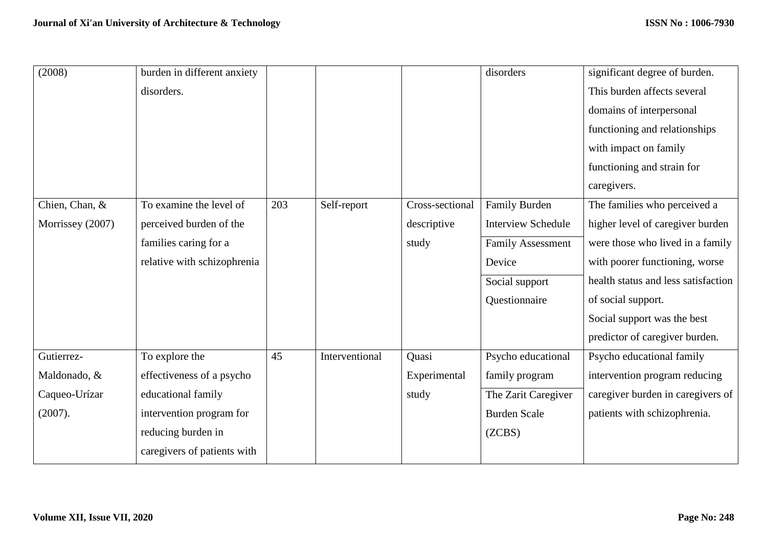| (2008)           | burden in different anxiety |     |                |                 | disorders                 | significant degree of burden.       |
|------------------|-----------------------------|-----|----------------|-----------------|---------------------------|-------------------------------------|
|                  | disorders.                  |     |                |                 |                           | This burden affects several         |
|                  |                             |     |                |                 |                           | domains of interpersonal            |
|                  |                             |     |                |                 |                           | functioning and relationships       |
|                  |                             |     |                |                 |                           | with impact on family               |
|                  |                             |     |                |                 |                           | functioning and strain for          |
|                  |                             |     |                |                 |                           | caregivers.                         |
| Chien, Chan, &   | To examine the level of     | 203 | Self-report    | Cross-sectional | Family Burden             | The families who perceived a        |
| Morrissey (2007) | perceived burden of the     |     |                | descriptive     | <b>Interview Schedule</b> | higher level of caregiver burden    |
|                  | families caring for a       |     |                | study           | <b>Family Assessment</b>  | were those who lived in a family    |
|                  | relative with schizophrenia |     |                |                 | Device                    | with poorer functioning, worse      |
|                  |                             |     |                |                 | Social support            | health status and less satisfaction |
|                  |                             |     |                |                 | Questionnaire             | of social support.                  |
|                  |                             |     |                |                 |                           | Social support was the best         |
|                  |                             |     |                |                 |                           | predictor of caregiver burden.      |
| Gutierrez-       | To explore the              | 45  | Interventional | Quasi           | Psycho educational        | Psycho educational family           |
| Maldonado, &     | effectiveness of a psycho   |     |                | Experimental    | family program            | intervention program reducing       |
| Caqueo-Urízar    | educational family          |     |                | study           | The Zarit Caregiver       | caregiver burden in caregivers of   |
| (2007).          | intervention program for    |     |                |                 | <b>Burden Scale</b>       | patients with schizophrenia.        |
|                  | reducing burden in          |     |                |                 | (ZCBS)                    |                                     |
|                  | caregivers of patients with |     |                |                 |                           |                                     |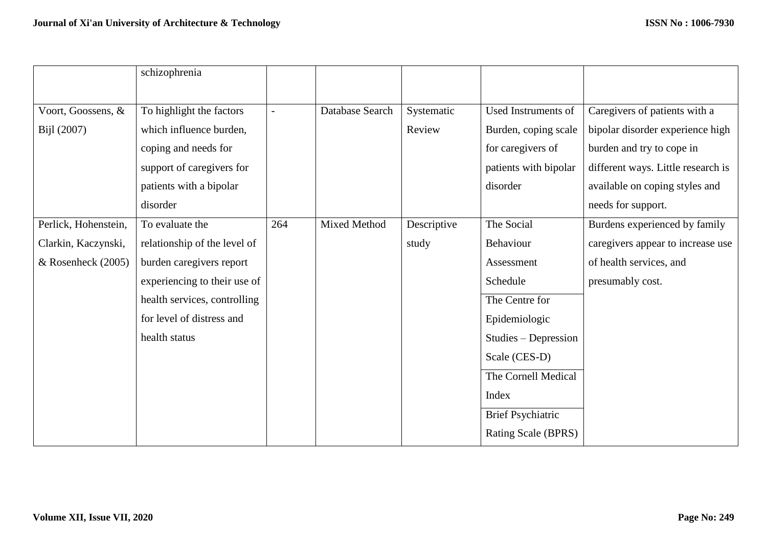|                      | schizophrenia                |     |                 |             |                          |                                    |
|----------------------|------------------------------|-----|-----------------|-------------|--------------------------|------------------------------------|
|                      |                              |     |                 |             |                          |                                    |
| Voort, Goossens, &   | To highlight the factors     |     | Database Search | Systematic  | Used Instruments of      | Caregivers of patients with a      |
| Bijl (2007)          | which influence burden,      |     |                 | Review      | Burden, coping scale     | bipolar disorder experience high   |
|                      | coping and needs for         |     |                 |             | for caregivers of        | burden and try to cope in          |
|                      | support of caregivers for    |     |                 |             | patients with bipolar    | different ways. Little research is |
|                      | patients with a bipolar      |     |                 |             | disorder                 | available on coping styles and     |
|                      | disorder                     |     |                 |             |                          | needs for support.                 |
| Perlick, Hohenstein, | To evaluate the              | 264 | Mixed Method    | Descriptive | The Social               | Burdens experienced by family      |
| Clarkin, Kaczynski,  | relationship of the level of |     |                 | study       | Behaviour                | caregivers appear to increase use  |
| $&$ Rosenheck (2005) | burden caregivers report     |     |                 |             | Assessment               | of health services, and            |
|                      | experiencing to their use of |     |                 |             | Schedule                 | presumably cost.                   |
|                      | health services, controlling |     |                 |             | The Centre for           |                                    |
|                      | for level of distress and    |     |                 |             | Epidemiologic            |                                    |
|                      | health status                |     |                 |             | Studies - Depression     |                                    |
|                      |                              |     |                 |             | Scale (CES-D)            |                                    |
|                      |                              |     |                 |             | The Cornell Medical      |                                    |
|                      |                              |     |                 |             | Index                    |                                    |
|                      |                              |     |                 |             | <b>Brief Psychiatric</b> |                                    |
|                      |                              |     |                 |             | Rating Scale (BPRS)      |                                    |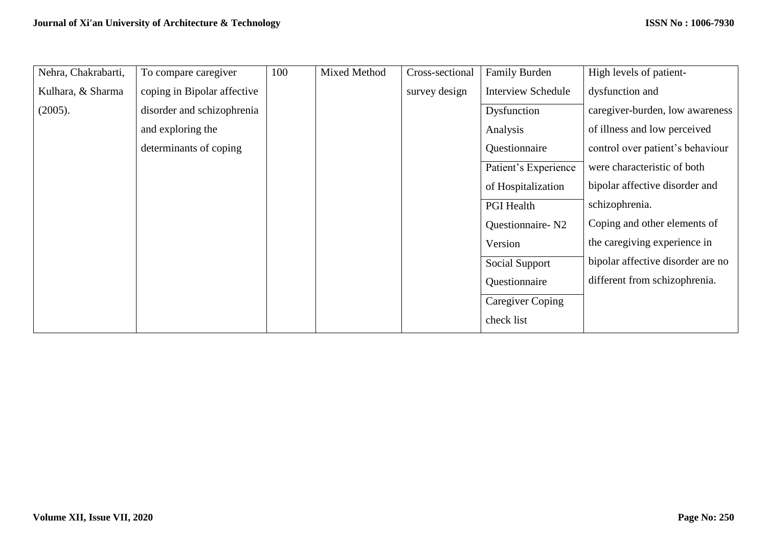| Nehra, Chakrabarti, | To compare caregiver        | 100 | Mixed Method | Cross-sectional | Family Burden             | High levels of patient-           |
|---------------------|-----------------------------|-----|--------------|-----------------|---------------------------|-----------------------------------|
| Kulhara, & Sharma   | coping in Bipolar affective |     |              | survey design   | <b>Interview Schedule</b> | dysfunction and                   |
| (2005).             | disorder and schizophrenia  |     |              |                 | Dysfunction               | caregiver-burden, low awareness   |
|                     | and exploring the           |     |              |                 | Analysis                  | of illness and low perceived      |
|                     | determinants of coping      |     |              |                 | Questionnaire             | control over patient's behaviour  |
|                     |                             |     |              |                 | Patient's Experience      | were characteristic of both       |
|                     |                             |     |              |                 | of Hospitalization        | bipolar affective disorder and    |
|                     |                             |     |              |                 | <b>PGI</b> Health         | schizophrenia.                    |
|                     |                             |     |              |                 | Questionnaire-N2          | Coping and other elements of      |
|                     |                             |     |              |                 | Version                   | the caregiving experience in      |
|                     |                             |     |              |                 | Social Support            | bipolar affective disorder are no |
|                     |                             |     |              |                 | Questionnaire             | different from schizophrenia.     |
|                     |                             |     |              |                 | <b>Caregiver Coping</b>   |                                   |
|                     |                             |     |              |                 | check list                |                                   |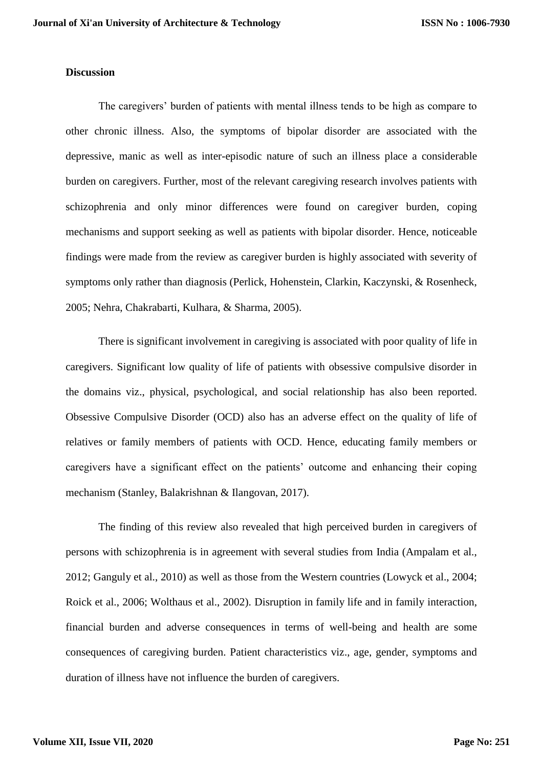### **Discussion**

The caregivers' burden of patients with mental illness tends to be high as compare to other chronic illness. Also, the symptoms of bipolar disorder are associated with the depressive, manic as well as inter-episodic nature of such an illness place a considerable burden on caregivers. Further, most of the relevant caregiving research involves patients with schizophrenia and only minor differences were found on caregiver burden, coping mechanisms and support seeking as well as patients with bipolar disorder. Hence, noticeable findings were made from the review as caregiver burden is highly associated with severity of symptoms only rather than diagnosis (Perlick, Hohenstein, Clarkin, Kaczynski, & Rosenheck, 2005; Nehra, Chakrabarti, Kulhara, & Sharma, 2005).

There is significant involvement in caregiving is associated with poor quality of life in caregivers. Significant low quality of life of patients with obsessive compulsive disorder in the domains viz., physical, psychological, and social relationship has also been reported. Obsessive Compulsive Disorder (OCD) also has an adverse effect on the quality of life of relatives or family members of patients with OCD. Hence, educating family members or caregivers have a significant effect on the patients' outcome and enhancing their coping mechanism (Stanley, Balakrishnan & Ilangovan, 2017).

The finding of this review also revealed that high perceived burden in caregivers of persons with schizophrenia is in agreement with several studies from India (Ampalam et al., 2012; Ganguly et al., 2010) as well as those from the Western countries (Lowyck et al., 2004; Roick et al., 2006; Wolthaus et al., 2002). Disruption in family life and in family interaction, financial burden and adverse consequences in terms of well-being and health are some consequences of caregiving burden. Patient characteristics viz., age, gender, symptoms and duration of illness have not influence the burden of caregivers.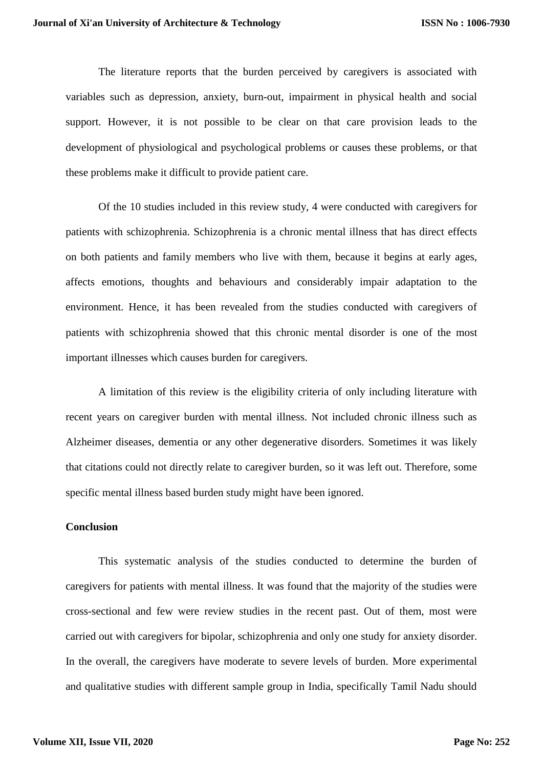The literature reports that the burden perceived by caregivers is associated with variables such as depression, anxiety, burn-out, impairment in physical health and social support. However, it is not possible to be clear on that care provision leads to the development of physiological and psychological problems or causes these problems, or that these problems make it difficult to provide patient care.

Of the 10 studies included in this review study, 4 were conducted with caregivers for patients with schizophrenia. Schizophrenia is a chronic mental illness that has direct effects on both patients and family members who live with them, because it begins at early ages, affects emotions, thoughts and behaviours and considerably impair adaptation to the environment. Hence, it has been revealed from the studies conducted with caregivers of patients with schizophrenia showed that this chronic mental disorder is one of the most important illnesses which causes burden for caregivers.

A limitation of this review is the eligibility criteria of only including literature with recent years on caregiver burden with mental illness. Not included chronic illness such as Alzheimer diseases, dementia or any other degenerative disorders. Sometimes it was likely that citations could not directly relate to caregiver burden, so it was left out. Therefore, some specific mental illness based burden study might have been ignored.

### **Conclusion**

This systematic analysis of the studies conducted to determine the burden of caregivers for patients with mental illness. It was found that the majority of the studies were cross-sectional and few were review studies in the recent past. Out of them, most were carried out with caregivers for bipolar, schizophrenia and only one study for anxiety disorder. In the overall, the caregivers have moderate to severe levels of burden. More experimental and qualitative studies with different sample group in India, specifically Tamil Nadu should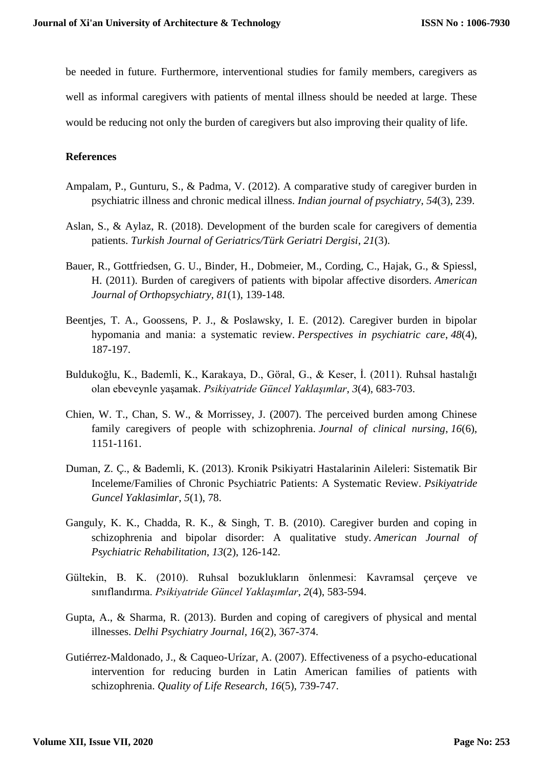be needed in future. Furthermore, interventional studies for family members, caregivers as well as informal caregivers with patients of mental illness should be needed at large. These would be reducing not only the burden of caregivers but also improving their quality of life.

# **References**

- Ampalam, P., Gunturu, S., & Padma, V. (2012). A comparative study of caregiver burden in psychiatric illness and chronic medical illness. *Indian journal of psychiatry*, *54*(3), 239.
- Aslan, S., & Aylaz, R. (2018). Development of the burden scale for caregivers of dementia patients. *Turkish Journal of Geriatrics/Türk Geriatri Dergisi*, *21*(3).
- Bauer, R., Gottfriedsen, G. U., Binder, H., Dobmeier, M., Cording, C., Hajak, G., & Spiessl, H. (2011). Burden of caregivers of patients with bipolar affective disorders. *American Journal of Orthopsychiatry*, *81*(1), 139-148.
- Beentjes, T. A., Goossens, P. J., & Poslawsky, I. E. (2012). Caregiver burden in bipolar hypomania and mania: a systematic review. *Perspectives in psychiatric care*, *48*(4), 187-197.
- Buldukoğlu, K., Bademli, K., Karakaya, D., Göral, G., & Keser, İ. (2011). Ruhsal hastalığı olan ebeveynle yaşamak. *Psikiyatride Güncel Yaklaşımlar*, *3*(4), 683-703.
- Chien, W. T., Chan, S. W., & Morrissey, J. (2007). The perceived burden among Chinese family caregivers of people with schizophrenia. *Journal of clinical nursing*, *16*(6), 1151-1161.
- Duman, Z. Ç., & Bademli, K. (2013). Kronik Psikiyatri Hastalarinin Aileleri: Sistematik Bir Inceleme/Families of Chronic Psychiatric Patients: A Systematic Review. *Psikiyatride Guncel Yaklasimlar*, *5*(1), 78.
- Ganguly, K. K., Chadda, R. K., & Singh, T. B. (2010). Caregiver burden and coping in schizophrenia and bipolar disorder: A qualitative study. *American Journal of Psychiatric Rehabilitation*, *13*(2), 126-142.
- Gültekin, B. K. (2010). Ruhsal bozuklukların önlenmesi: Kavramsal çerçeve ve sınıflandırma. *Psikiyatride Güncel Yaklaşımlar*, *2*(4), 583-594.
- Gupta, A., & Sharma, R. (2013). Burden and coping of caregivers of physical and mental illnesses. *Delhi Psychiatry Journal*, *16*(2), 367-374.
- Gutiérrez-Maldonado, J., & Caqueo-Urízar, A. (2007). Effectiveness of a psycho-educational intervention for reducing burden in Latin American families of patients with schizophrenia. *Quality of Life Research*, *16*(5), 739-747.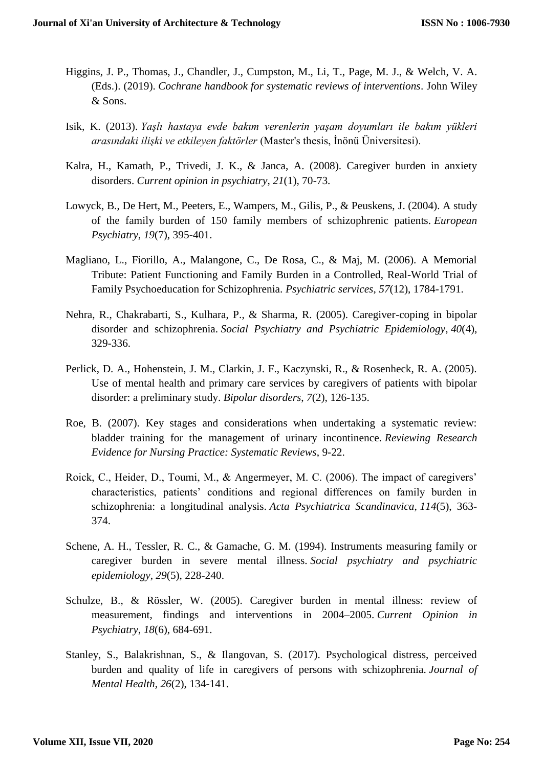- Higgins, J. P., Thomas, J., Chandler, J., Cumpston, M., Li, T., Page, M. J., & Welch, V. A. (Eds.). (2019). *Cochrane handbook for systematic reviews of interventions*. John Wiley & Sons.
- Isik, K. (2013). *Yaşlı hastaya evde bakım verenlerin yaşam doyumları ile bakım yükleri arasındaki ilişki ve etkileyen faktörler* (Master's thesis, İnönü Üniversitesi).
- Kalra, H., Kamath, P., Trivedi, J. K., & Janca, A. (2008). Caregiver burden in anxiety disorders. *Current opinion in psychiatry*, *21*(1), 70-73.
- Lowyck, B., De Hert, M., Peeters, E., Wampers, M., Gilis, P., & Peuskens, J. (2004). A study of the family burden of 150 family members of schizophrenic patients. *European Psychiatry*, *19*(7), 395-401.
- Magliano, L., Fiorillo, A., Malangone, C., De Rosa, C., & Maj, M. (2006). A Memorial Tribute: Patient Functioning and Family Burden in a Controlled, Real-World Trial of Family Psychoeducation for Schizophrenia. *Psychiatric services*, *57*(12), 1784-1791.
- Nehra, R., Chakrabarti, S., Kulhara, P., & Sharma, R. (2005). Caregiver-coping in bipolar disorder and schizophrenia. *Social Psychiatry and Psychiatric Epidemiology*, *40*(4), 329-336.
- Perlick, D. A., Hohenstein, J. M., Clarkin, J. F., Kaczynski, R., & Rosenheck, R. A. (2005). Use of mental health and primary care services by caregivers of patients with bipolar disorder: a preliminary study. *Bipolar disorders*, *7*(2), 126-135.
- Roe, B. (2007). Key stages and considerations when undertaking a systematic review: bladder training for the management of urinary incontinence. *Reviewing Research Evidence for Nursing Practice: Systematic Reviews*, 9-22.
- Roick, C., Heider, D., Toumi, M., & Angermeyer, M. C. (2006). The impact of caregivers' characteristics, patients' conditions and regional differences on family burden in schizophrenia: a longitudinal analysis. *Acta Psychiatrica Scandinavica*, *114*(5), 363- 374.
- Schene, A. H., Tessler, R. C., & Gamache, G. M. (1994). Instruments measuring family or caregiver burden in severe mental illness. *Social psychiatry and psychiatric epidemiology*, *29*(5), 228-240.
- Schulze, B., & Rössler, W. (2005). Caregiver burden in mental illness: review of measurement, findings and interventions in 2004–2005. *Current Opinion in Psychiatry*, *18*(6), 684-691.
- Stanley, S., Balakrishnan, S., & Ilangovan, S. (2017). Psychological distress, perceived burden and quality of life in caregivers of persons with schizophrenia. *Journal of Mental Health*, *26*(2), 134-141.